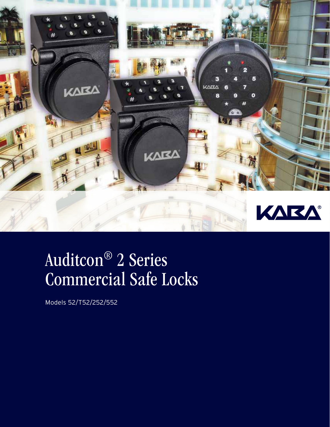

# Auditcon® 2 Series Commercial Safe Locks

Models 52/T52/252/552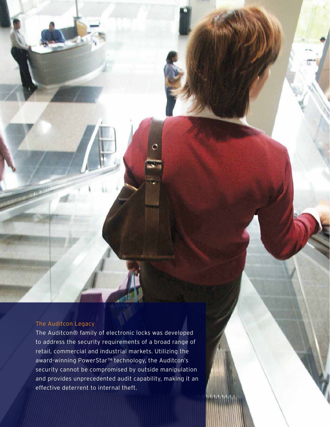### The Auditcon Legacy

The Auditcon® family of electronic locks was developed to address the security requirements of a broad range of retail, commercial and industrial markets. Utilizing the award-winning PowerStar™ technology, the Auditcon's security cannot be compromised by outside manipulation and provides unprecedented audit capability, making it an effective deterrent to internal theft.

WA NY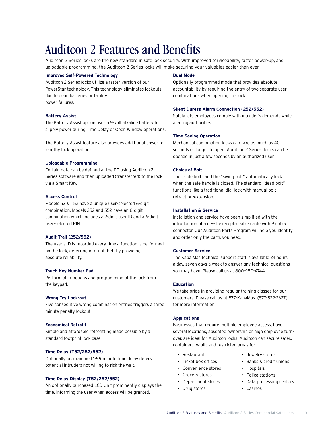Auditcon 2 Series locks are the new standard in safe lock security. With improved serviceability, faster power-up, and uploadable programming, the Auditcon 2 Series locks will make securing your valuables easier than ever.

#### **Improved Self-Powered Technology**

Auditcon 2 Series locks utilize a faster version of our PowerStar technology. This technology eliminates lockouts due to dead batteries or facility power failures.

#### **Battery Assist**

The Battery Assist option uses a 9-volt alkaline battery to supply power during Time Delay or Open Window operations.

The Battery Assist feature also provides additional power for lengthy lock operations.

#### **Uploadable Programming**

Certain data can be defined at the PC using Auditcon 2 Series software and then uploaded (transferred) to the lock via a Smart Key.

#### **Access Control**

Models 52 & T52 have a unique user-selected 6-digit combination. Models 252 and 552 have an 8-digit combination which includes a 2-digit user ID and a 6-digit user-selected PIN.

#### **Audit Trail (252/552)**

The user's ID is recorded every time a function is performed on the lock, deterring internal theft by providing absolute reliability.

#### **Touch Key Number Pad**

Perform all functions and programming of the lock from the keypad.

#### **Wrong Try Lock-out**

Five consecutive wrong combination entries triggers a three minute penalty lockout.

#### **Economical Retrofit**

Simple and affordable retrofitting made possible by a standard footprint lock case.

#### **Time Delay (T52/252/552)**

Optionally programmed 1-99 minute time delay deters potential intruders not willing to risk the wait.

#### **Time Delay Display (T52/252/552)**

An optionally purchased LCD Unit prominently displays the time, informing the user when access will be granted.

#### **Dual Mode**

Optionally programmed mode that provides absolute accountability by requiring the entry of two separate user combinations when opening the lock.

#### **Silent Duress Alarm Connection (252/552)**

Safely lets employees comply with intruder's demands while alerting authorities.

#### **Time Saving Operation**

Mechanical combination locks can take as much as 40 seconds or longer to open. Auditcon 2 Series locks can be opened in just a few seconds by an authorized user.

#### **Choice of Bolt**

The "slide bolt" and the "swing bolt" automatically lock when the safe handle is closed. The standard "dead bolt" functions like a traditional dial lock with manual bolt retraction/extension.

#### **Installation & Service**

Installation and service have been simplified with the introduction of a new field-replaceable cable with Picoflex connector. Our Auditcon Parts Program will help you identify and order only the parts you need. Autoriticson 2 Features and Benefits<br>
and and an extent with commercial commercial systems and and an extend the commercial system in the commercial system in the commercial system in the commercial system in the commerci

#### **Customer Service**

The Kaba Mas technical support staff is available 24 hours a day, seven days a week to answer any technical questions you may have. Please call us at 800-950-4744.

#### **Education**

We take pride in providing regular training classes for our customers. Please call us at 877-KabaMas (877-522-2627) for more information.

#### **Applications**

Businesses that require multiple employee access, have several locations, absentee ownership or high employee turnover, are ideal for Auditcon locks. Auditcon can secure safes, containers, vaults and restricted areas for:

- Restaurants
- Ticket box offices
- Convenience stores
- Grocery stores
- Department stores
- Drug stores
- Jewelry stores
- Banks & credit unions
- Hospitals
- Police stations
- Data processing centers
- Casinos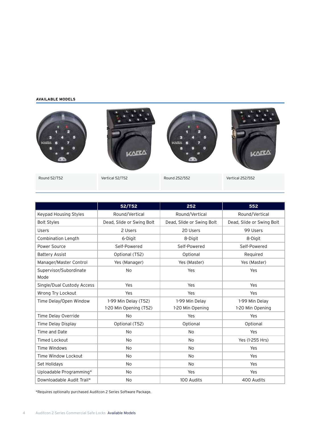#### **Available models**



|                                | 52/T52                                         | 252                                | 552                                |
|--------------------------------|------------------------------------------------|------------------------------------|------------------------------------|
| Keypad Housing Styles          | Round/Vertical                                 | Round/Vertical                     | Round/Vertical                     |
| <b>Bolt Styles</b>             | Dead, Slide or Swing Bolt                      | Dead, Slide or Swing Bolt          | Dead, Slide or Swing Bolt          |
| Users                          | 2 Users                                        | 20 Users                           | 99 Users                           |
| Combination Length             | 6-Digit                                        | 8-Digit                            | 8-Digit                            |
| Power Source                   | Self-Powered                                   | Self-Powered                       | Self-Powered                       |
| <b>Battery Assist</b>          | Optional (T52)                                 | Optional                           | Required                           |
| Manager/Master Control         | Yes (Manager)                                  | Yes (Master)                       | Yes (Master)                       |
| Supervisor/Subordinate<br>Mode | <b>No</b>                                      | Yes                                | Yes                                |
| Single/Dual Custody Access     | Yes                                            | Yes                                | Yes                                |
| Wrong Try Lockout              | Yes                                            | Yes                                | Yes                                |
| Time Delay/Open Window         | 1-99 Min Delay (T52)<br>1-20 Min Opening (T52) | 1-99 Min Delav<br>1-20 Min Opening | 1-99 Min Delav<br>1-20 Min Opening |
| Time Delay Override            | <b>No</b>                                      | Yes                                | Yes                                |
| Time Delay Display             | Optional (T52)                                 | Optional                           | Optional                           |
| Time and Date                  | <b>No</b>                                      | <b>No</b>                          | Yes                                |
| <b>Timed Lockout</b>           | N <sub>o</sub>                                 | <b>No</b>                          | Yes (1-255 Hrs)                    |
| <b>Time Windows</b>            | <b>No</b>                                      | <b>No</b>                          | Yes                                |
| Time Window Lockout            | N <sub>o</sub>                                 | N <sub>0</sub>                     | Yes                                |
| Set Holidays                   | No                                             | <b>No</b>                          | Yes                                |
| Uploadable Programming*        | N <sub>o</sub>                                 | Yes                                | Yes                                |
| Downloadable Audit Trail*      | No                                             | 100 Audits                         | 400 Audits                         |

\*Requires optionally purchased Auditcon 2 Series Software Package.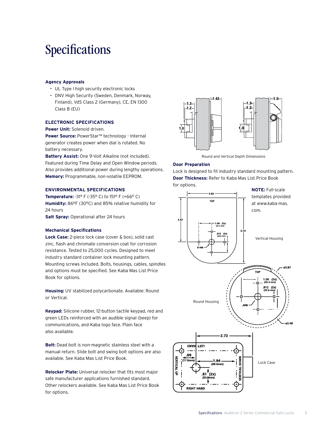### Specifications

#### **Agency Approvals**

- UL Type l high security electronic locks
- DNV High Security (Sweden, Denmark, Norway, Finland), VdS Class 2 (Germany), CE, EN 1300 Class B (EU)

#### **Electronic Specifications**

**Power Unit:** Solenoid driven.

**Power Source:** PowerStar™ technology - Internal generator creates power when dial is rotated. No battery necessary.

**Battery Assist:** One 9-Volt Alkaline (not included). Featured during Time Delay and Open Window periods. Also provides additional power during lengthy operations. **Memory:** Programmable, non-volatile EEPROM.

#### **Environmental Specifications**

**Temperature:** -31° F (-35° C) to 151° F (+66° C) **Humidity:** 86°F (30°C) and 85% relative humidity for 24 hours

**Salt Spray:** Operational after 24 hours

#### **Mechanical Specifications**

**Lock Case:** 2-piece lock case (cover & box), solid cast zinc, flash and chromate conversion coat for corrosion resistance. Tested to 25,000 cycles. Designed to meet industry standard container lock mounting pattern. Mounting screws included. Bolts, housings, cables, spindles and options must be specified. See Kaba Mas List Price Book for options.

**Housing:** UV stabilized polycarbonate. Available: Round or Vertical.

**Keypad:** Silicone rubber, 12-button tactile keypad, red and green LEDs reinforced with an audible signal (beep) for communications, and Kaba logo face. Plain face also available.

**Bolt:** Dead bolt is non-magnetic stainless steel with a manual return. Slide bolt and swing bolt options are also available. See Kaba Mas List Price Book.

**Relocker Plate:** Universal relocker that fits most major safe manufacturer applications furnished standard. Other relockers available. See Kaba Mas List Price Book for options.



Round and Vertical Depth Dimensions

#### **Door Preparation**

Lock is designed to fit industry standard mounting pattern. **Door Thickness:** Refer to Kaba Mas List Price Book for options.

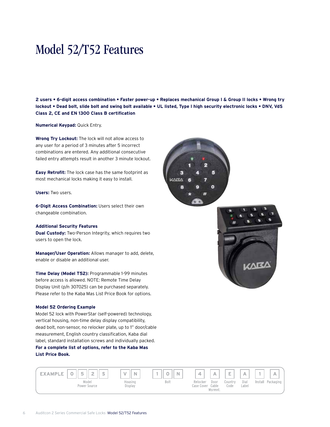## Model 52/T52 Features

**2 users • 6-digit access combination • Faster power-up • Replaces mechanical Group I & Group II locks • Wrong try lockout • Dead bolt, slide bolt and swing bolt available • UL listed, Type I high security electronic locks • DNV, VdS Class 2, CE and EN 1300 Class B certification**

**Numerical Keypad:** Quick Entry.

**Wrong Try Lockout:** The lock will not allow access to any user for a period of 3 minutes after 5 incorrect combinations are entered. Any additional consecutive failed entry attempts result in another 3 minute lockout.

**Easy Retrofit:** The lock case has the same footprint as most mechanical locks making it easy to install.

**Users:** Two users.

**6-Digit Access Combination:** Users select their own changeable combination.

#### **Additional Security Features**

**Dual Custody:** Two-Person Integrity, which requires two users to open the lock.

**Manager/User Operation:** Allows manager to add, delete, enable or disable an additional user.

**Time Delay (Model T52):** Programmable 1-99 minutes before access is allowed. NOTE: Remote Time Delay Display Unit (p/n 307025) can be purchased separately. Please refer to the Kaba Mas List Price Book for options.

#### **Model 52 Ordering Example**

Model 52 lock with PowerStar (self-powered) technology, vertical housing, non-time delay display compatibility, dead bolt, non-sensor, no relocker plate, up to 1" door/cable measurement, English country classification, Kaba dial label, standard installation screws and individually packed.

#### **For a complete list of options, refer to the Kaba Mas List Price Book.**





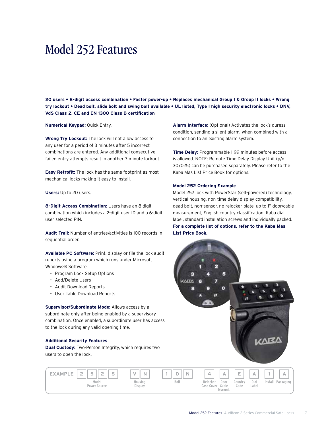### Model 252 Features

**20 users • 8-digit access combination • Faster power-up • Replaces mechanical Group I & Group II locks • Wrong try lockout • Dead bolt, slide bolt and swing bolt available • UL listed, Type I high security electronic locks • DNV, VdS Class 2, CE and EN 1300 Class B certification**

**Numerical Keypad:** Quick Entry.

**Wrong Try Lockout:** The lock will not allow access to any user for a period of 3 minutes after 5 incorrect combinations are entered. Any additional consecutive failed entry attempts result in another 3 minute lockout.

**Easy Retrofit:** The lock has the same footprint as most mechanical locks making it easy to install.

**Users:** Up to 20 users.

**8-Digit Access Combination:** Users have an 8 digit combination which includes a 2-digit user ID and a 6-digit user selected PIN.

**Audit Trail:** Number of entries/activities is 100 records in sequential order.

**Available PC Software:** Print, display or file the lock audit reports using a program which runs under Microsoft Windows® Software.

- Program Lock Setup Options
- Add/Delete Users
- Audit Download Reports
- User Table Download Reports

**Supervisor/Subordinate Mode:** Allows access by a subordinate only after being enabled by a supervisory combination. Once enabled, a subordinate user has access to the lock during any valid opening time.

#### **Additional Security Features**

**Dual Custody:** Two-Person Integrity, which requires two users to open the lock.



**Alarm Interface:** (Optional) Activates the lock's duress condition, sending a silent alarm, when combined with a connection to an existing alarm system.

**Time Delay:** Programmable 1-99 minutes before access is allowed. NOTE: Remote Time Delay Display Unit (p/n 307025) can be purchased separately. Please refer to the Kaba Mas List Price Book for options.

#### **Model 252 Ordering Example**

Model 252 lock with PowerStar (self-powered) technology, vertical housing, non-time delay display compatibility, dead bolt, non-sensor, no relocker plate, up to 1" door/cable measurement, English country classification, Kaba dial label, standard installation screws and individually packed. **For a complete list of options, refer to the Kaba Mas List Price Book.**

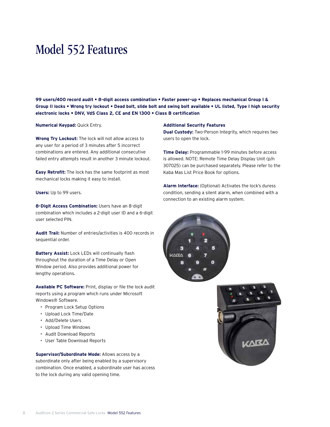### Model 552 Features

**99 users/400 record audit • 8-digit access combination • Faster power-up • Replaces mechanical Group I & Group II locks • Wrong try lockout • Dead bolt, slide bolt and swing bolt available • UL listed, Type I high security electronic locks • DNV, VdS Class 2, CE and EN 1300 • Class B certification**

**Numerical Keypad:** Quick Entry.

**Wrong Try Lockout:** The lock will not allow access to any user for a period of 3 minutes after 5 incorrect combinations are entered. Any additional consecutive failed entry attempts result in another 3 minute lockout.

**Easy Retrofit:** The lock has the same footprint as most mechanical locks making it easy to install.

**Users:** Up to 99 users.

**8-Digit Access Combination:** Users have an 8-digit combination which includes a 2-digit user ID and a 6-digit user selected PIN.

**Audit Trail:** Number of entries/activities is 400 records in sequential order.

**Battery Assist:** Lock LEDs will continually flash throughout the duration of a Time Delay or Open Window period. Also provides additional power for lengthy operations.

**Available PC Software:** Print, display or file the lock audit reports using a program which runs under Microsoft Windows® Software.

- Program Lock Setup Options
- Upload Lock Time/Date
- Add/Delete Users
- Upload Time Windows
- Audit Download Reports
- User Table Download Reports

**Supervisor/Subordinate Mode:** Allows access by a subordinate only after being enabled by a supervisory combination. Once enabled, a subordinate user has access to the lock during any valid opening time.

#### **Additional Security Features**

**Dual Custody:** Two-Person Integrity, which requires two users to open the lock.

**Time Delay:** Programmable 1-99 minutes before access is allowed. NOTE: Remote Time Delay Display Unit (p/n 307025) can be purchased separately. Please refer to the Kaba Mas List Price Book for options.

**Alarm Interface:** (Optional) Activates the lock's duress condition, sending a silent alarm, when combined with a connection to an existing alarm system.



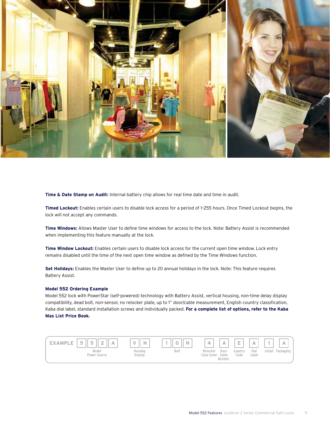

**Time & Date Stamp on Audit:** Internal battery chip allows for real time date and time in audit.

**Timed Lockout:** Enables certain users to disable lock access for a period of 1–255 hours. Once Timed Lockout begins, the lock will not accept any commands.

**Time Windows:** Allows Master User to define time windows for access to the lock. Note: Battery Assist is recommended when implementing this feature manually at the lock.

**Time Window Lockout:** Enables certain users to disable lock access for the current open time window. Lock entry remains disabled until the time of the next open time window as defined by the Time Windows function.

**Set Holidays:** Enables the Master User to define up to 20 annual holidays in the lock. Note: This feature requires Battery Assist.

#### **Model 552 Ordering Example**

Model 552 lock with PowerStar (self-powered) technology with Battery Assist, vertical housing, non-time delay display compatibility, dead bolt, non-sensor, no relocker plate, up to 1" door/cable measurement, English country classification, Kaba dial label, standard installation screws and individually packed. **For a complete list of options, refer to the Kaba Mas List Price Book.**

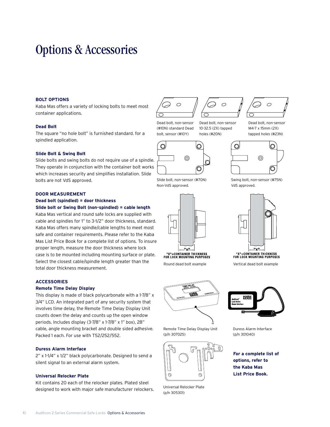### Options & Accessories

#### **Bolt Options**

Kaba Mas offers a variety of locking bolts to meet most container applications.

#### **Dead Bolt**

The square "no hole bolt" is furnished standard. for a spindled application.

#### **Slide Bolt & Swing Bolt**

Slide bolts and swing bolts do not require use of a spindle. They operate in conjunction with the container bolt works which increases security and simplifies installation. Slide bolts are not VdS approved.

#### **Door Measurement**

#### **Dead bolt (spindled) = door thickness Slide bolt or Swing Bolt (non-spindled) = cable length**

Kaba Mas vertical and round safe locks are supplied with cable and spindles for 1" to 3-1/2" door thickness, standard. Kaba Mas offers many spindle/cable lengths to meet most safe and container requirements. Please refer to the Kaba Mas List Price Book for a complete list of options. To insure proper length, measure the door thickness where lock case is to be mounted including mounting surface or plate. Select the closest cable/spindle length greater than the total door thickness measurement.

#### **Accessories**

#### **Remote Time Delay Display**

This display is made of black polycarbonate with a 1-7/8" x 3/4" LCD. An integrated part of any security system that involves time delay, the Remote Time Delay Display Unit counts down the delay and counts up the open window periods. Includes display (3-7/8" x 1-7/8" x 1" box), 28" cable, angle mounting bracket and double sided adhesive. Packed 1 each. For use with T52/252/552.

#### **Duress Alarm Interface**

2" x 1-1/4" x 1/2" black polycarbonate. Designed to send a silent signal to an external alarm system.

#### **Universal Relocker Plate**

Kit contains 20 each of the relocker plates. Plated steel designed to work with major safe manufacturer relockers.



Dead bolt, non-sensor (#10N) standard Dead bolt, sensor (#10Y)

 $\bigcirc$ 



10

Dead bolt, non-sensor 10-32.5 (2X) tapped holes (#20N)

Dead bolt, non-sensor M4-7 x 15mm (2X) tapped holes (#23N)



Swing bolt, non-sensor (#75N)

VdS approved.

Slide bolt, non-sensor (#70N) Non-VdS approved.



Round dead bolt example Vertical dead bolt example



Remote Time Delay Display Unit (p/n 307025)



Universal Relocker Plate (p/n 305301)



"X"=CONTAINER THICKNESS<br>FOR LOCK MOUNTING PURPOSES



Duress Alarm Interface (p/n 301040)

**For a complete list of options, refer to the Kaba Mas List Price Book.**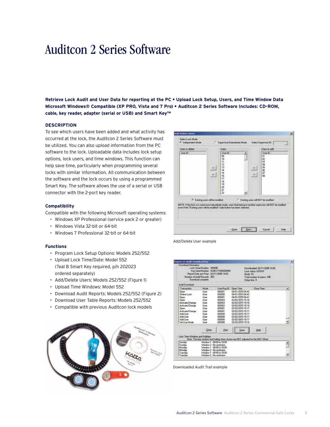### Auditcon 2 Series Software

**Retrieve Lock Audit and User Data for reporting at the PC • Upload Lock Setup, Users, and Time Window Data Microsoft Windows® Compatible (XP PRO, Vista and 7 Pro) • Auditcon 2 Series Software Includes: CD-ROM, cable, key reader, adapter (serial or USB) and Smart Key™**

#### **Description**

To see which users have been added and what activity has occurred at the lock, the Auditcon 2 Series Software must be utilized. You can also upload information from the PC software to the lock. Uploadable data includes lock setup options, lock users, and time windows. This function can help save time, particularly when programming several locks with similar information. All communication between the software and the lock occurs by using a programmed Smart Key. The software allows the use of a serial or USB connector with the 2-port key reader.

#### **Compatibility**

Compatible with the following Microsoft operating systems:

- Windows XP Professional (service pack 2 or greater)
- Windows Vista 32-bit or 64-bit
- Windows 7 Professional 32-bit or 64-bit

#### **Functions**

- Program Lock Setup Options: Models 252/552
- Upload Lock Time/Date: Model 552 (Teal B Smart Key required, p/n 202023 ordered separately)
- Add/Delete Users: Models 252/552 (Figure 1)
- Upload Time Windows: Model 552
- Download Audit Reports: Models 252/552 (Figure 2)
- Download User Table Reports: Models 252/552
- Compatible with previous Auditcon lock models





Add/Delete User example



Downloaded Audit Trail example